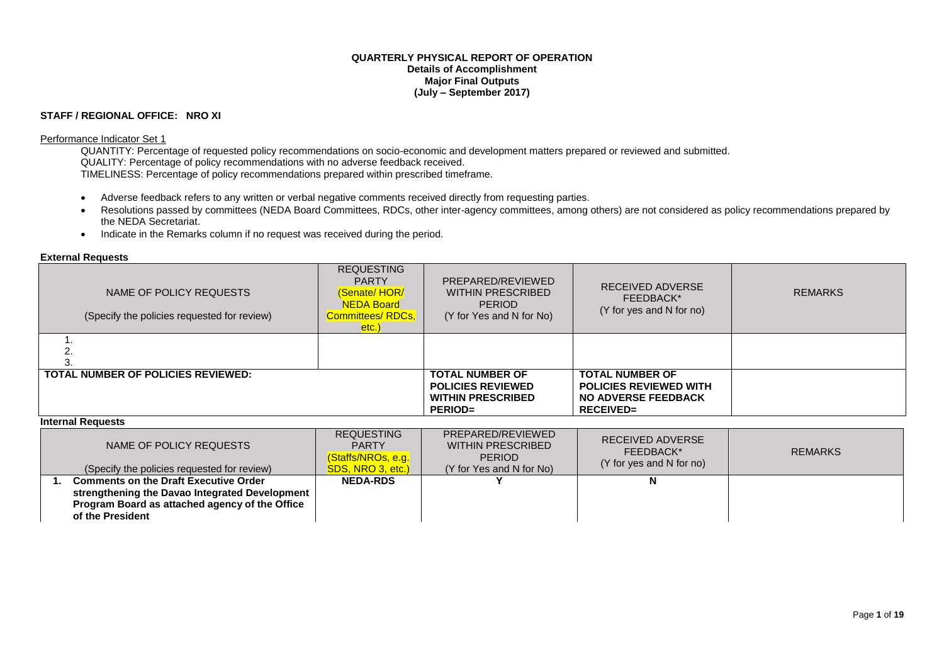#### **QUARTERLY PHYSICAL REPORT OF OPERATION Details of Accomplishment Major Final Outputs (July – September 2017)**

### **STAFF / REGIONAL OFFICE: NRO XI**

#### Performance Indicator Set 1

QUANTITY: Percentage of requested policy recommendations on socio-economic and development matters prepared or reviewed and submitted. QUALITY: Percentage of policy recommendations with no adverse feedback received. TIMELINESS: Percentage of policy recommendations prepared within prescribed timeframe.

- Adverse feedback refers to any written or verbal negative comments received directly from requesting parties.
- Resolutions passed by committees (NEDA Board Committees, RDCs, other inter-agency committees, among others) are not considered as policy recommendations prepared by the NEDA Secretariat.
- Indicate in the Remarks column if no request was received during the period.

### **External Requests**

| NAME OF POLICY REQUESTS<br>(Specify the policies requested for review) | <b>REQUESTING</b><br><b>PARTY</b><br>(Senate/HOR/<br><b>NEDA Board</b><br>Committees/RDCs,<br>etc.) | PREPARED/REVIEWED<br><b>WITHIN PRESCRIBED</b><br><b>PERIOD</b><br>(Y for Yes and N for No)       | RECEIVED ADVERSE<br>FEEDBACK*<br>(Y for yes and N for no)                                                 | <b>REMARKS</b> |
|------------------------------------------------------------------------|-----------------------------------------------------------------------------------------------------|--------------------------------------------------------------------------------------------------|-----------------------------------------------------------------------------------------------------------|----------------|
|                                                                        |                                                                                                     |                                                                                                  |                                                                                                           |                |
|                                                                        |                                                                                                     |                                                                                                  |                                                                                                           |                |
| <b>TOTAL NUMBER OF POLICIES REVIEWED:</b>                              |                                                                                                     | <b>TOTAL NUMBER OF</b><br><b>POLICIES REVIEWED</b><br><b>WITHIN PRESCRIBED</b><br><b>PERIOD=</b> | <b>TOTAL NUMBER OF</b><br><b>POLICIES REVIEWED WITH</b><br><b>NO ADVERSE FEEDBACK</b><br><b>RECEIVED=</b> |                |

#### **Internal Requests**

| NAME OF POLICY REQUESTS<br>(Specify the policies requested for review)                                                                                               | <b>REQUESTING</b><br><b>PARTY</b><br>(Staffs/NROs, e.g.<br>SDS, NRO 3, etc.) | PREPARED/REVIEWED<br>WITHIN PRESCRIBED<br><b>PERIOD</b><br>(Y for Yes and N for No) | RECEIVED ADVERSE<br>FEEDBACK*<br>(Y for yes and N for no) | <b>REMARKS</b> |
|----------------------------------------------------------------------------------------------------------------------------------------------------------------------|------------------------------------------------------------------------------|-------------------------------------------------------------------------------------|-----------------------------------------------------------|----------------|
| <b>Comments on the Draft Executive Order</b><br>strengthening the Davao Integrated Development<br>Program Board as attached agency of the Office<br>of the President | <b>NEDA-RDS</b>                                                              |                                                                                     |                                                           |                |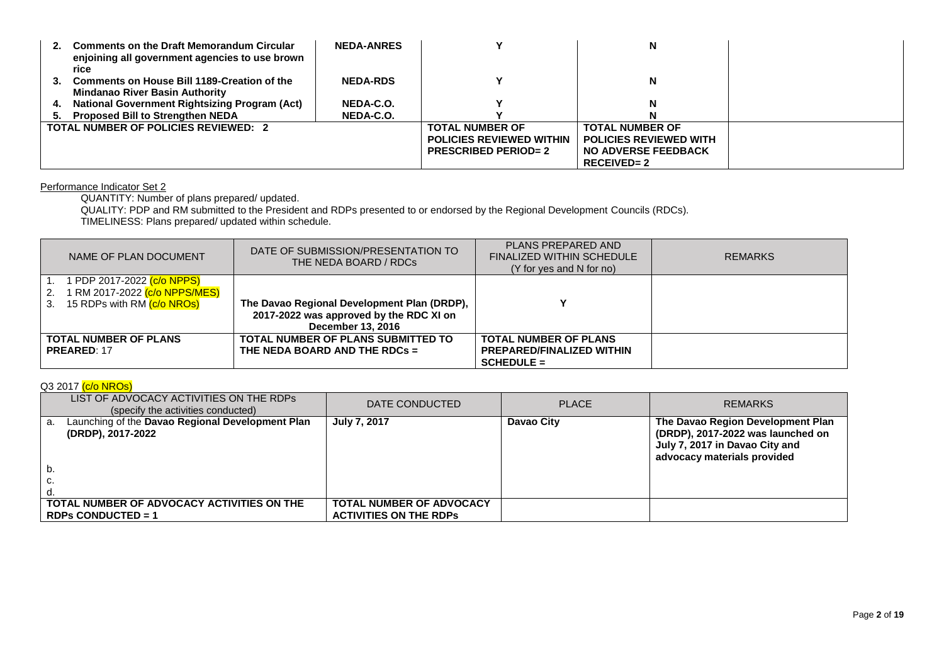| 2. | <b>Comments on the Draft Memorandum Circular</b><br>enjoining all government agencies to use brown | <b>NEDA-ANRES</b> |                                 |                               |  |
|----|----------------------------------------------------------------------------------------------------|-------------------|---------------------------------|-------------------------------|--|
|    | rice<br>Comments on House Bill 1189-Creation of the                                                | <b>NEDA-RDS</b>   |                                 | N                             |  |
| З. | <b>Mindanao River Basin Authority</b>                                                              |                   |                                 |                               |  |
|    | <b>National Government Rightsizing Program (Act)</b>                                               | NEDA-C.O.         |                                 |                               |  |
| 5. | <b>Proposed Bill to Strengthen NEDA</b>                                                            | NEDA-C.O.         |                                 |                               |  |
|    | <b>TOTAL NUMBER OF POLICIES REVIEWED: 2</b>                                                        |                   | <b>TOTAL NUMBER OF</b>          | <b>TOTAL NUMBER OF</b>        |  |
|    |                                                                                                    |                   | <b>POLICIES REVIEWED WITHIN</b> | <b>POLICIES REVIEWED WITH</b> |  |
|    |                                                                                                    |                   | <b>PRESCRIBED PERIOD=2</b>      | <b>NO ADVERSE FEEDBACK</b>    |  |
|    |                                                                                                    |                   |                                 | $RECEIVED = 2$                |  |

#### Performance Indicator Set 2

QUANTITY: Number of plans prepared/ updated.

QUALITY: PDP and RM submitted to the President and RDPs presented to or endorsed by the Regional Development Councils (RDCs). TIMELINESS: Plans prepared/ updated within schedule.

| NAME OF PLAN DOCUMENT                                                                                                           | DATE OF SUBMISSION/PRESENTATION TO<br>THE NEDA BOARD / RDCs                                                 | PLANS PREPARED AND<br><b>FINALIZED WITHIN SCHEDULE</b><br>(Y for yes and N for no) | <b>REMARKS</b> |
|---------------------------------------------------------------------------------------------------------------------------------|-------------------------------------------------------------------------------------------------------------|------------------------------------------------------------------------------------|----------------|
| l PDP 2017-2022 <mark>(c/o NPPS)</mark><br>1 RM 2017-2022 <mark>(c/o NPPS/MES)</mark><br>2.<br>15 RDPs with RM (c/o NROs)<br>3. | The Davao Regional Development Plan (DRDP),<br>2017-2022 was approved by the RDC XI on<br>December 13, 2016 |                                                                                    |                |
| <b>TOTAL NUMBER OF PLANS</b><br><b>PREARED: 17</b>                                                                              | TOTAL NUMBER OF PLANS SUBMITTED TO<br>THE NEDA BOARD AND THE RDCs =                                         | <b>TOTAL NUMBER OF PLANS</b><br><b>PREPARED/FINALIZED WITHIN</b><br>$SCHEDULE =$   |                |

## Q3 2017 (c/o NROs)

| LIST OF ADVOCACY ACTIVITIES ON THE RDPS<br>(specify the activities conducted) | DATE CONDUCTED                                                   | <b>PLACE</b> | <b>REMARKS</b>                                                                                                                          |
|-------------------------------------------------------------------------------|------------------------------------------------------------------|--------------|-----------------------------------------------------------------------------------------------------------------------------------------|
| Launching of the Davao Regional Development Plan<br>a.<br>(DRDP), 2017-2022   | <b>July 7, 2017</b>                                              | Davao City   | The Davao Region Development Plan<br>(DRDP), 2017-2022 was launched on<br>July 7, 2017 in Davao City and<br>advocacy materials provided |
|                                                                               |                                                                  |              |                                                                                                                                         |
| TOTAL NUMBER OF ADVOCACY ACTIVITIES ON THE<br>RDPs CONDUCTED = $1$            | <b>TOTAL NUMBER OF ADVOCACY</b><br><b>ACTIVITIES ON THE RDPS</b> |              |                                                                                                                                         |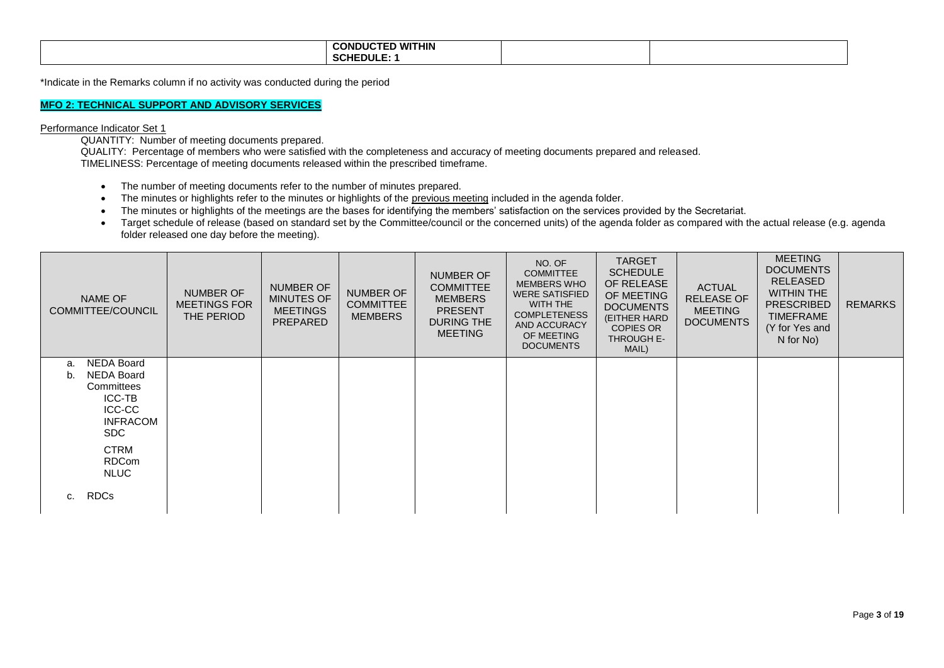| D WITHIN!<br><b>CONDUC</b><br>--<br>$\sim$<br><b>`HEDULE:</b><br>SUNE |  |
|-----------------------------------------------------------------------|--|
|                                                                       |  |

\*Indicate in the Remarks column if no activity was conducted during the period

## **MFO 2: TECHNICAL SUPPORT AND ADVISORY SERVICES**

#### Performance Indicator Set 1

QUANTITY: Number of meeting documents prepared.

QUALITY: Percentage of members who were satisfied with the completeness and accuracy of meeting documents prepared and released. TIMELINESS: Percentage of meeting documents released within the prescribed timeframe.

- The number of meeting documents refer to the number of minutes prepared.
- The minutes or highlights refer to the minutes or highlights of the previous meeting included in the agenda folder.
- The minutes or highlights of the meetings are the bases for identifying the members' satisfaction on the services provided by the Secretariat.
- Target schedule of release (based on standard set by the Committee/council or the concerned units) of the agenda folder as compared with the actual release (e.g. agenda folder released one day before the meeting).

| NAME OF<br><b>COMMITTEE/COUNCIL</b>                                                                                                                                  | <b>NUMBER OF</b><br><b>MEETINGS FOR</b><br>THE PERIOD | <b>NUMBER OF</b><br><b>MINUTES OF</b><br><b>MEETINGS</b><br>PREPARED | NUMBER OF<br><b>COMMITTEE</b><br><b>MEMBERS</b> | <b>NUMBER OF</b><br><b>COMMITTEE</b><br><b>MEMBERS</b><br><b>PRESENT</b><br>DURING THE<br><b>MEETING</b> | NO. OF<br><b>COMMITTEE</b><br><b>MEMBERS WHO</b><br><b>WERE SATISFIED</b><br>WITH THE<br><b>COMPLETENESS</b><br><b>AND ACCURACY</b><br>OF MEETING<br><b>DOCUMENTS</b> | <b>TARGET</b><br><b>SCHEDULE</b><br>OF RELEASE<br>OF MEETING<br><b>DOCUMENTS</b><br>(EITHER HARD<br><b>COPIES OR</b><br>THROUGH E-<br>MAIL) | <b>ACTUAL</b><br><b>RELEASE OF</b><br><b>MEETING</b><br><b>DOCUMENTS</b> | <b>MEETING</b><br><b>DOCUMENTS</b><br><b>RELEASED</b><br><b>WITHIN THE</b><br><b>PRESCRIBED</b><br><b>TIMEFRAME</b><br>(Y for Yes and<br>N for No) | <b>REMARKS</b> |
|----------------------------------------------------------------------------------------------------------------------------------------------------------------------|-------------------------------------------------------|----------------------------------------------------------------------|-------------------------------------------------|----------------------------------------------------------------------------------------------------------|-----------------------------------------------------------------------------------------------------------------------------------------------------------------------|---------------------------------------------------------------------------------------------------------------------------------------------|--------------------------------------------------------------------------|----------------------------------------------------------------------------------------------------------------------------------------------------|----------------|
| <b>NEDA Board</b><br>a.<br><b>NEDA Board</b><br>b.<br>Committees<br>ICC-TB<br><b>ICC-CC</b><br><b>INFRACOM</b><br>SDC.<br><b>CTRM</b><br><b>RDCom</b><br><b>NLUC</b> |                                                       |                                                                      |                                                 |                                                                                                          |                                                                                                                                                                       |                                                                                                                                             |                                                                          |                                                                                                                                                    |                |
| <b>RDCs</b><br>c.                                                                                                                                                    |                                                       |                                                                      |                                                 |                                                                                                          |                                                                                                                                                                       |                                                                                                                                             |                                                                          |                                                                                                                                                    |                |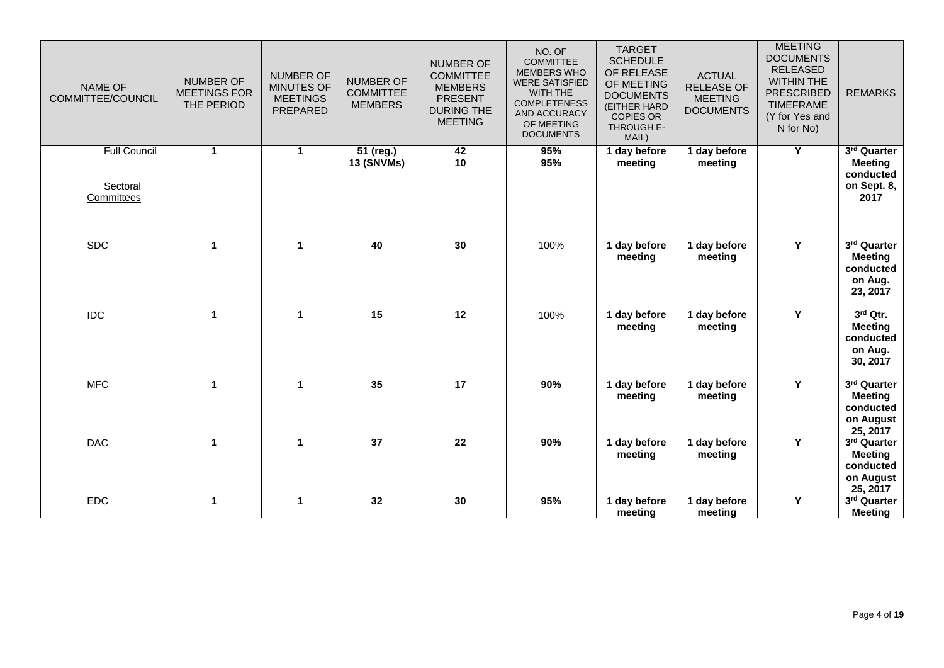| <b>NAME OF</b><br>COMMITTEE/COUNCIL           | <b>NUMBER OF</b><br><b>MEETINGS FOR</b><br>THE PERIOD | <b>NUMBER OF</b><br>MINUTES OF<br><b>MEETINGS</b><br>PREPARED | <b>NUMBER OF</b><br><b>COMMITTEE</b><br><b>MEMBERS</b> | <b>NUMBER OF</b><br><b>COMMITTEE</b><br><b>MEMBERS</b><br><b>PRESENT</b><br><b>DURING THE</b><br><b>MEETING</b> | NO. OF<br><b>COMMITTEE</b><br>MEMBERS WHO<br><b>WERE SATISFIED</b><br>WITH THE<br><b>COMPLETENESS</b><br>AND ACCURACY<br>OF MEETING<br><b>DOCUMENTS</b> | <b>TARGET</b><br><b>SCHEDULE</b><br>OF RELEASE<br>OF MEETING<br><b>DOCUMENTS</b><br>(EITHER HARD<br><b>COPIES OR</b><br>THROUGH E-<br>MAIL) | <b>ACTUAL</b><br><b>RELEASE OF</b><br><b>MEETING</b><br><b>DOCUMENTS</b> | <b>MEETING</b><br><b>DOCUMENTS</b><br><b>RELEASED</b><br><b>WITHIN THE</b><br><b>PRESCRIBED</b><br><b>TIMEFRAME</b><br>(Y for Yes and<br>N for No) | <b>REMARKS</b>                                                      |
|-----------------------------------------------|-------------------------------------------------------|---------------------------------------------------------------|--------------------------------------------------------|-----------------------------------------------------------------------------------------------------------------|---------------------------------------------------------------------------------------------------------------------------------------------------------|---------------------------------------------------------------------------------------------------------------------------------------------|--------------------------------------------------------------------------|----------------------------------------------------------------------------------------------------------------------------------------------------|---------------------------------------------------------------------|
| <b>Full Council</b><br>Sectoral<br>Committees | $\mathbf{1}$                                          | $\blacktriangleleft$                                          | 51 (reg.)<br>13 (SNVMs)                                | 42<br>10                                                                                                        | 95%<br>95%                                                                                                                                              | 1 day before<br>meeting                                                                                                                     | 1 day before<br>meeting                                                  | Y                                                                                                                                                  | 3rd Quarter<br><b>Meeting</b><br>conducted<br>on Sept. 8,<br>2017   |
| <b>SDC</b>                                    | $\mathbf 1$                                           | $\mathbf{1}$                                                  | 40                                                     | 30                                                                                                              | 100%                                                                                                                                                    | 1 day before<br>meeting                                                                                                                     | 1 day before<br>meeting                                                  | Y                                                                                                                                                  | 3rd Quarter<br><b>Meeting</b><br>conducted<br>on Aug.<br>23, 2017   |
| <b>IDC</b>                                    | $\mathbf{1}$                                          | $\mathbf{1}$                                                  | 15                                                     | 12                                                                                                              | 100%                                                                                                                                                    | 1 day before<br>meeting                                                                                                                     | 1 day before<br>meeting                                                  | Y                                                                                                                                                  | 3rd Qtr.<br><b>Meeting</b><br>conducted<br>on Aug.<br>30, 2017      |
| <b>MFC</b>                                    | $\mathbf{1}$                                          | $\mathbf{1}$                                                  | 35                                                     | 17                                                                                                              | 90%                                                                                                                                                     | 1 day before<br>meeting                                                                                                                     | 1 day before<br>meeting                                                  | Y                                                                                                                                                  | 3rd Quarter<br><b>Meeting</b><br>conducted<br>on August<br>25, 2017 |
| <b>DAC</b>                                    | $\mathbf 1$                                           | $\mathbf 1$                                                   | 37                                                     | 22                                                                                                              | 90%                                                                                                                                                     | 1 day before<br>meeting                                                                                                                     | 1 day before<br>meeting                                                  | Y                                                                                                                                                  | 3rd Quarter<br><b>Meeting</b><br>conducted<br>on August<br>25, 2017 |
| <b>EDC</b>                                    | $\mathbf{1}$                                          | $\mathbf{1}$                                                  | 32                                                     | 30                                                                                                              | 95%                                                                                                                                                     | 1 day before<br>meeting                                                                                                                     | 1 day before<br>meeting                                                  | Y                                                                                                                                                  | 3rd Quarter<br><b>Meeting</b>                                       |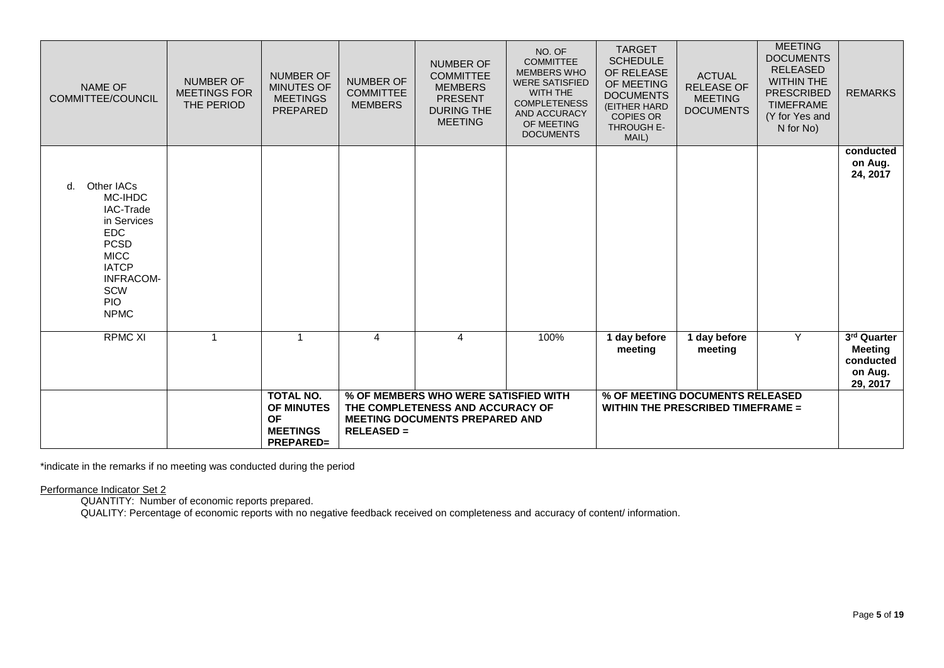| NAME OF<br>COMMITTEE/COUNCIL                                                                                                                                                | <b>NUMBER OF</b><br><b>MEETINGS FOR</b><br>THE PERIOD | <b>NUMBER OF</b><br><b>MINUTES OF</b><br><b>MEETINGS</b><br>PREPARED               | <b>NUMBER OF</b><br><b>COMMITTEE</b><br><b>MEMBERS</b> | <b>NUMBER OF</b><br><b>COMMITTEE</b><br><b>MEMBERS</b><br><b>PRESENT</b><br><b>DURING THE</b><br><b>MEETING</b>   | NO. OF<br><b>COMMITTEE</b><br><b>MEMBERS WHO</b><br><b>WERE SATISFIED</b><br>WITH THE<br><b>COMPLETENESS</b><br><b>AND ACCURACY</b><br>OF MEETING<br><b>DOCUMENTS</b> | <b>TARGET</b><br><b>SCHEDULE</b><br>OF RELEASE<br>OF MEETING<br><b>DOCUMENTS</b><br>(EITHER HARD<br><b>COPIES OR</b><br>THROUGH E-<br>MAIL) | <b>ACTUAL</b><br><b>RELEASE OF</b><br><b>MEETING</b><br><b>DOCUMENTS</b>    | <b>MEETING</b><br><b>DOCUMENTS</b><br><b>RELEASED</b><br><b>WITHIN THE</b><br><b>PRESCRIBED</b><br><b>TIMEFRAME</b><br>(Y for Yes and<br>N for No) | <b>REMARKS</b>                                                    |
|-----------------------------------------------------------------------------------------------------------------------------------------------------------------------------|-------------------------------------------------------|------------------------------------------------------------------------------------|--------------------------------------------------------|-------------------------------------------------------------------------------------------------------------------|-----------------------------------------------------------------------------------------------------------------------------------------------------------------------|---------------------------------------------------------------------------------------------------------------------------------------------|-----------------------------------------------------------------------------|----------------------------------------------------------------------------------------------------------------------------------------------------|-------------------------------------------------------------------|
| Other IACs<br>d.<br>MC-IHDC<br>IAC-Trade<br>in Services<br><b>EDC</b><br><b>PCSD</b><br><b>MICC</b><br><b>IATCP</b><br><b>INFRACOM-</b><br>SCW<br><b>PIO</b><br><b>NPMC</b> |                                                       |                                                                                    |                                                        |                                                                                                                   |                                                                                                                                                                       |                                                                                                                                             |                                                                             |                                                                                                                                                    | conducted<br>on Aug.<br>24, 2017                                  |
| <b>RPMC XI</b>                                                                                                                                                              | $\overline{1}$                                        | $\overline{1}$                                                                     | 4                                                      | $\overline{4}$                                                                                                    | 100%                                                                                                                                                                  | 1 day before<br>meeting                                                                                                                     | 1 day before<br>meeting                                                     | Y                                                                                                                                                  | 3rd Quarter<br><b>Meeting</b><br>conducted<br>on Aug.<br>29, 2017 |
|                                                                                                                                                                             |                                                       | <b>TOTAL NO.</b><br>OF MINUTES<br><b>OF</b><br><b>MEETINGS</b><br><b>PREPARED=</b> | <b>RELEASED =</b>                                      | % OF MEMBERS WHO WERE SATISFIED WITH<br>THE COMPLETENESS AND ACCURACY OF<br><b>MEETING DOCUMENTS PREPARED AND</b> |                                                                                                                                                                       |                                                                                                                                             | % OF MEETING DOCUMENTS RELEASED<br><b>WITHIN THE PRESCRIBED TIMEFRAME =</b> |                                                                                                                                                    |                                                                   |

\*indicate in the remarks if no meeting was conducted during the period

Performance Indicator Set 2

QUANTITY: Number of economic reports prepared.

QUALITY: Percentage of economic reports with no negative feedback received on completeness and accuracy of content/ information.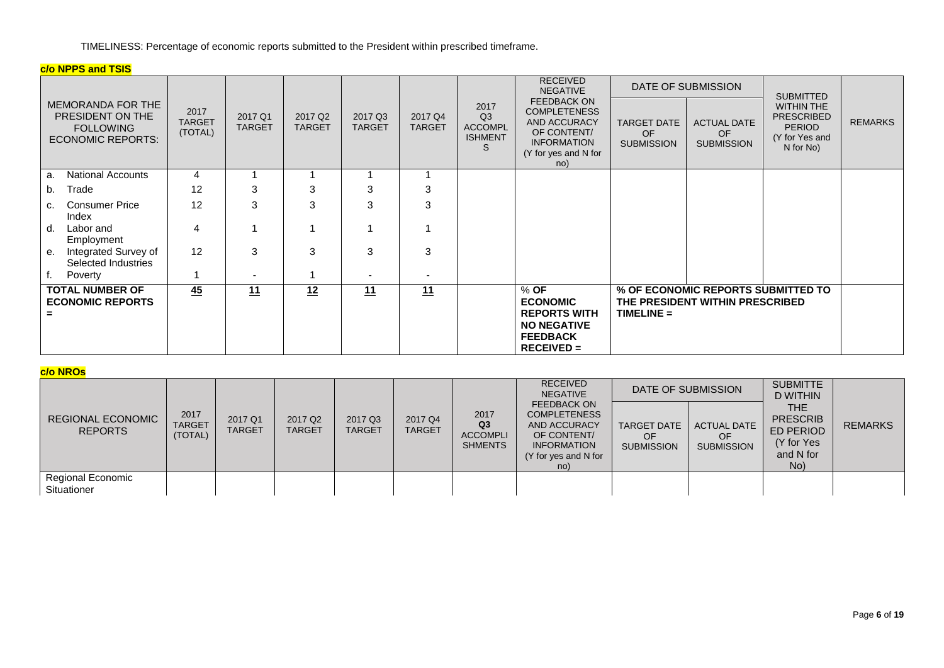TIMELINESS: Percentage of economic reports submitted to the President within prescribed timeframe.

## **c/o NPPS and TSIS**

|                                                                                              |                                  |                          |                                      |                          |                          |                                                     | <b>RECEIVED</b><br><b>NEGATIVE</b>                                                                                            |                                               | DATE OF SUBMISSION                                                    | <b>SUBMITTED</b>                                                                |                |
|----------------------------------------------------------------------------------------------|----------------------------------|--------------------------|--------------------------------------|--------------------------|--------------------------|-----------------------------------------------------|-------------------------------------------------------------------------------------------------------------------------------|-----------------------------------------------|-----------------------------------------------------------------------|---------------------------------------------------------------------------------|----------------|
| <b>MEMORANDA FOR THE</b><br>PRESIDENT ON THE<br><b>FOLLOWING</b><br><b>ECONOMIC REPORTS:</b> | 2017<br><b>TARGET</b><br>(TOTAL) | 2017 Q1<br><b>TARGET</b> | 2017 Q <sub>2</sub><br><b>TARGET</b> | 2017 Q3<br><b>TARGET</b> | 2017 Q4<br><b>TARGET</b> | 2017<br>Q3<br><b>ACCOMPL</b><br><b>ISHMENT</b><br>S | <b>FEEDBACK ON</b><br><b>COMPLETENESS</b><br>AND ACCURACY<br>OF CONTENT/<br><b>INFORMATION</b><br>(Y for yes and N for<br>no) | <b>TARGET DATE</b><br>OF<br><b>SUBMISSION</b> | <b>ACTUAL DATE</b><br>OF<br><b>SUBMISSION</b>                         | WITHIN THE<br><b>PRESCRIBED</b><br><b>PERIOD</b><br>(Y for Yes and<br>N for No) | <b>REMARKS</b> |
| <b>National Accounts</b><br>а.                                                               | 4                                |                          |                                      |                          |                          |                                                     |                                                                                                                               |                                               |                                                                       |                                                                                 |                |
| Trade<br>b.                                                                                  | 12                               | 3                        | 3                                    | 3                        | 3                        |                                                     |                                                                                                                               |                                               |                                                                       |                                                                                 |                |
| <b>Consumer Price</b><br>C.<br>Index                                                         | 12                               | 3                        | 3                                    | 3                        | 3                        |                                                     |                                                                                                                               |                                               |                                                                       |                                                                                 |                |
| Labor and<br>d.<br>Employment                                                                | 4                                |                          |                                      |                          | 1                        |                                                     |                                                                                                                               |                                               |                                                                       |                                                                                 |                |
| Integrated Survey of<br>е.<br>Selected Industries                                            | 12                               | 3                        | 3                                    | 3                        | 3                        |                                                     |                                                                                                                               |                                               |                                                                       |                                                                                 |                |
| Poverty                                                                                      |                                  |                          |                                      |                          |                          |                                                     |                                                                                                                               |                                               |                                                                       |                                                                                 |                |
| <b>TOTAL NUMBER OF</b><br><b>ECONOMIC REPORTS</b><br>$\equiv$                                | 45                               | 11                       | 12                                   | 11                       | 11                       |                                                     | $%$ OF<br><b>ECONOMIC</b><br><b>REPORTS WITH</b><br><b>NO NEGATIVE</b><br><b>FEEDBACK</b><br>$RECEIVED =$                     | $TIME =$                                      | % OF ECONOMIC REPORTS SUBMITTED TO<br>THE PRESIDENT WITHIN PRESCRIBED |                                                                                 |                |

## **c/o NROs**

|                                            |                                  |                          |                                      |                          |                          |                                                             | <b>RECEIVED</b><br><b>NEGATIVE</b>                                                                                     | DATE OF SUBMISSION                            |                                               | <b>SUBMITTE</b><br><b>D WITHIN</b>                                            |                |
|--------------------------------------------|----------------------------------|--------------------------|--------------------------------------|--------------------------|--------------------------|-------------------------------------------------------------|------------------------------------------------------------------------------------------------------------------------|-----------------------------------------------|-----------------------------------------------|-------------------------------------------------------------------------------|----------------|
| <b>REGIONAL ECONOMIC</b><br><b>REPORTS</b> | 2017<br><b>TARGET</b><br>(TOTAL) | 2017 Q1<br><b>TARGET</b> | 2017 Q <sub>2</sub><br><b>TARGET</b> | 2017 Q3<br><b>TARGET</b> | 2017 Q4<br><b>TARGET</b> | 2017<br>Q <sub>3</sub><br><b>ACCOMPLI</b><br><b>SHMENTS</b> | FEEDBACK ON<br><b>COMPLETENESS</b><br>AND ACCURACY<br>OF CONTENT/<br><b>INFORMATION</b><br>(Y for yes and N for<br>no) | <b>TARGET DATE</b><br>OF<br><b>SUBMISSION</b> | <b>ACTUAL DATE</b><br>OF<br><b>SUBMISSION</b> | THE.<br><b>PRESCRIB</b><br><b>ED PERIOD</b><br>(Y for Yes<br>and N for<br>No) | <b>REMARKS</b> |
| Regional Economic<br>Situationer           |                                  |                          |                                      |                          |                          |                                                             |                                                                                                                        |                                               |                                               |                                                                               |                |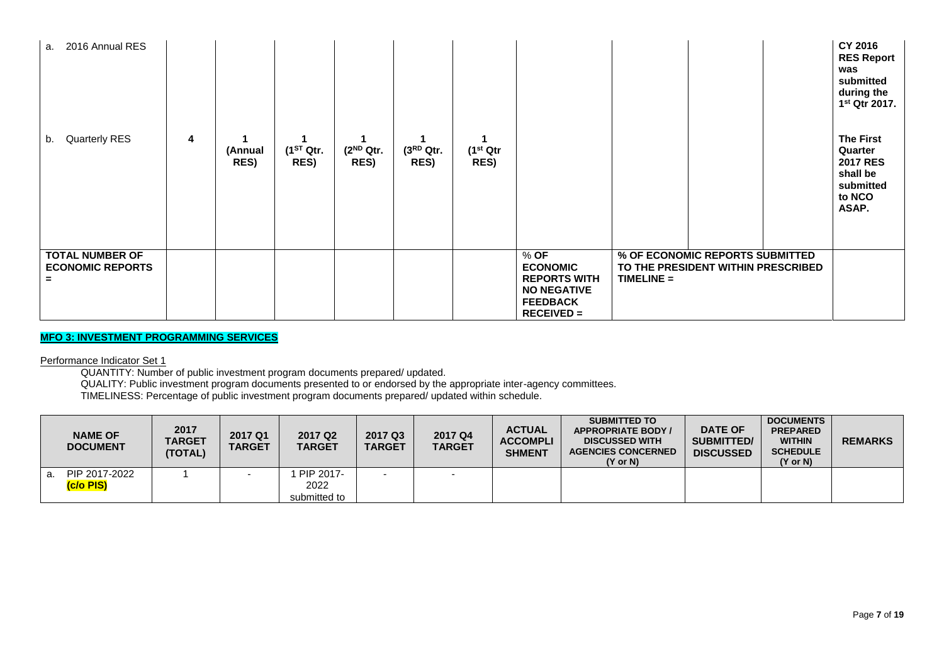| a. 2016 Annual RES                                       |   |                 |                        |                               |                        |                               |                                                                                                           |              |                                                                       | CY 2016<br><b>RES Report</b><br>was<br>submitted<br>during the<br>1 <sup>st</sup> Qtr 2017. |
|----------------------------------------------------------|---|-----------------|------------------------|-------------------------------|------------------------|-------------------------------|-----------------------------------------------------------------------------------------------------------|--------------|-----------------------------------------------------------------------|---------------------------------------------------------------------------------------------|
| <b>Quarterly RES</b><br>b.                               | 4 | (Annual<br>RES) | $(1^{ST}$ Qtr.<br>RES) | $(2^{ND}$ Qtr.<br><b>RES)</b> | $(3^{RD}$ Qtr.<br>RES) | (1 <sup>st</sup> Qtr)<br>RES) |                                                                                                           |              |                                                                       | <b>The First</b><br>Quarter<br><b>2017 RES</b><br>shall be<br>submitted<br>to NCO<br>ASAP.  |
| <b>TOTAL NUMBER OF</b><br><b>ECONOMIC REPORTS</b><br>$=$ |   |                 |                        |                               |                        |                               | $%$ OF<br><b>ECONOMIC</b><br><b>REPORTS WITH</b><br><b>NO NEGATIVE</b><br><b>FEEDBACK</b><br>$RECEIVED =$ | $TIMELINE =$ | % OF ECONOMIC REPORTS SUBMITTED<br>TO THE PRESIDENT WITHIN PRESCRIBED |                                                                                             |

## **MFO 3: INVESTMENT PROGRAMMING SERVICES**

Performance Indicator Set 1

QUANTITY: Number of public investment program documents prepared/ updated.

QUALITY: Public investment program documents presented to or endorsed by the appropriate inter-agency committees.

TIMELINESS: Percentage of public investment program documents prepared/ updated within schedule.

|    | <b>NAME OF</b><br><b>DOCUMENT</b> | 2017<br><b>TARGET</b><br>(TOTAL) | 2017 Q1<br><b>TARGET</b> | 2017 Q <sub>2</sub><br><b>TARGET</b> | 2017 Q3<br><b>TARGET</b> | 2017 Q4<br><b>TARGET</b> | <b>ACTUAL</b><br><b>ACCOMPLI</b><br><b>SHMENT</b> | <b>SUBMITTED TO</b><br><b>APPROPRIATE BODY /</b><br><b>DISCUSSED WITH</b><br><b>AGENCIES CONCERNED</b><br>$(Y \text{ or } N)$ | <b>DATE OF</b><br><b>SUBMITTED/</b><br><b>DISCUSSED</b> | <b>DOCUMENTS</b><br><b>PREPARED</b><br><b>WITHIN</b><br><b>SCHEDULE</b><br>$(Y \text{ or } N)$ | <b>REMARKS</b> |
|----|-----------------------------------|----------------------------------|--------------------------|--------------------------------------|--------------------------|--------------------------|---------------------------------------------------|-------------------------------------------------------------------------------------------------------------------------------|---------------------------------------------------------|------------------------------------------------------------------------------------------------|----------------|
| a. | PIP 2017-2022<br>(c/o PIS)        |                                  |                          | PIP 2017-<br>2022<br>submitted to    |                          |                          |                                                   |                                                                                                                               |                                                         |                                                                                                |                |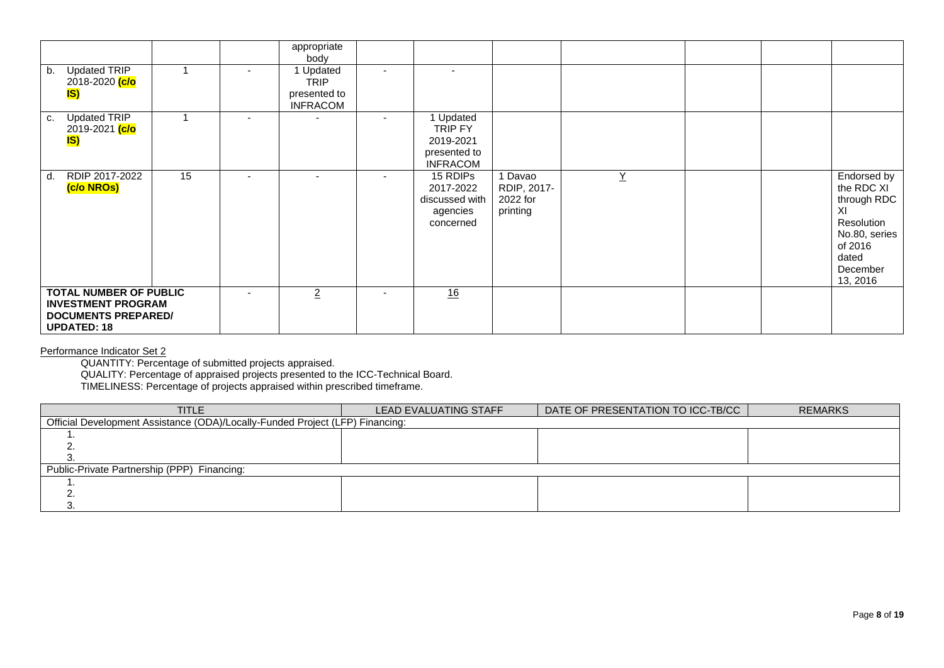|                                                                                                                |    | appropriate<br>body                                         |                          |                                                                      |                                              |                 |  |                                                                                                                           |
|----------------------------------------------------------------------------------------------------------------|----|-------------------------------------------------------------|--------------------------|----------------------------------------------------------------------|----------------------------------------------|-----------------|--|---------------------------------------------------------------------------------------------------------------------------|
| <b>Updated TRIP</b><br>$\mathsf{b}$ .<br>2018-2020 <mark>(c/o</mark><br>IS)                                    |    | 1 Updated<br><b>TRIP</b><br>presented to<br><b>INFRACOM</b> |                          |                                                                      |                                              |                 |  |                                                                                                                           |
| Updated TRIP<br>C.<br>2019-2021 <mark>(c/o</mark><br>IS)                                                       |    |                                                             |                          | 1 Updated<br>TRIP FY<br>2019-2021<br>presented to<br><b>INFRACOM</b> |                                              |                 |  |                                                                                                                           |
| RDIP 2017-2022<br>d.<br>(c/o NROs)                                                                             | 15 | $\overline{\phantom{0}}$                                    | $\overline{\phantom{a}}$ | 15 RDIPs<br>2017-2022<br>discussed with<br>agencies<br>concerned     | Davao<br>RDIP, 2017-<br>2022 for<br>printing | $\underline{Y}$ |  | Endorsed by<br>the RDC XI<br>through RDC<br>XI<br>Resolution<br>No.80, series<br>of 2016<br>dated<br>December<br>13, 2016 |
| <b>TOTAL NUMBER OF PUBLIC</b><br><b>INVESTMENT PROGRAM</b><br><b>DOCUMENTS PREPARED/</b><br><b>UPDATED: 18</b> |    | $\overline{2}$                                              | $\overline{\phantom{a}}$ | 16                                                                   |                                              |                 |  |                                                                                                                           |

Performance Indicator Set 2

QUANTITY: Percentage of submitted projects appraised.

QUALITY: Percentage of appraised projects presented to the ICC-Technical Board.

TIMELINESS: Percentage of projects appraised within prescribed timeframe.

| TITLE                                                                         | LEAD EVALUATING STAFF | DATE OF PRESENTATION TO ICC-TB/CC | <b>REMARKS</b> |  |  |  |  |  |  |  |  |
|-------------------------------------------------------------------------------|-----------------------|-----------------------------------|----------------|--|--|--|--|--|--|--|--|
| Official Development Assistance (ODA)/Locally-Funded Project (LFP) Financing: |                       |                                   |                |  |  |  |  |  |  |  |  |
|                                                                               |                       |                                   |                |  |  |  |  |  |  |  |  |
|                                                                               |                       |                                   |                |  |  |  |  |  |  |  |  |
|                                                                               |                       |                                   |                |  |  |  |  |  |  |  |  |
| Public-Private Partnership (PPP) Financing:                                   |                       |                                   |                |  |  |  |  |  |  |  |  |
|                                                                               |                       |                                   |                |  |  |  |  |  |  |  |  |
|                                                                               |                       |                                   |                |  |  |  |  |  |  |  |  |
|                                                                               |                       |                                   |                |  |  |  |  |  |  |  |  |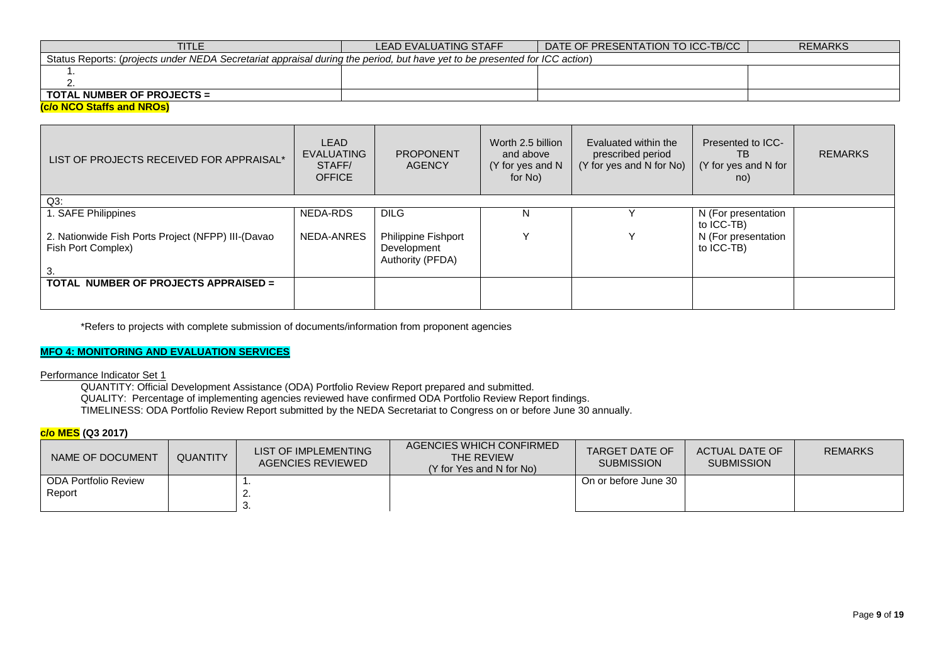| <b>TITLE</b>                                                                                                               | <b>LEAD EVALUATING STAFF</b> | DATE OF PRESENTATION TO ICC-TB/CC I | REMARKS |  |  |  |  |  |  |  |
|----------------------------------------------------------------------------------------------------------------------------|------------------------------|-------------------------------------|---------|--|--|--|--|--|--|--|
| Status Reports: (projects under NEDA Secretariat appraisal during the period, but have yet to be presented for ICC action) |                              |                                     |         |  |  |  |  |  |  |  |
|                                                                                                                            |                              |                                     |         |  |  |  |  |  |  |  |
|                                                                                                                            |                              |                                     |         |  |  |  |  |  |  |  |
| <b>TOTAL NUMBER OF PROJECTS =</b>                                                                                          |                              |                                     |         |  |  |  |  |  |  |  |
| $\left( -1 - \frac{N}{2} \right)$                                                                                          |                              |                                     |         |  |  |  |  |  |  |  |

#### **(c/o NCO Staffs and NROs)**

| LIST OF PROJECTS RECEIVED FOR APPRAISAL*                                 | LEAD<br><b>EVALUATING</b><br>STAFF/<br><b>OFFICE</b> | <b>PROPONENT</b><br><b>AGENCY</b>                      | Worth 2.5 billion<br>and above<br>(Y for yes and N<br>for No) | Evaluated within the<br>prescribed period<br>(Y for yes and N for No) | Presented to ICC-<br>TB.<br>(Y for yes and N for<br>no) | <b>REMARKS</b> |
|--------------------------------------------------------------------------|------------------------------------------------------|--------------------------------------------------------|---------------------------------------------------------------|-----------------------------------------------------------------------|---------------------------------------------------------|----------------|
| $Q3$ :                                                                   |                                                      |                                                        |                                                               |                                                                       |                                                         |                |
| 1. SAFE Philippines                                                      | NEDA-RDS                                             | <b>DILG</b>                                            | N                                                             |                                                                       | N (For presentation<br>to ICC-TB)                       |                |
| 2. Nationwide Fish Ports Project (NFPP) III-(Davao<br>Fish Port Complex) | NEDA-ANRES                                           | Philippine Fishport<br>Development<br>Authority (PFDA) |                                                               | $\checkmark$                                                          | N (For presentation<br>to ICC-TB)                       |                |
| TOTAL NUMBER OF PROJECTS APPRAISED =                                     |                                                      |                                                        |                                                               |                                                                       |                                                         |                |

\*Refers to projects with complete submission of documents/information from proponent agencies

## **MFO 4: MONITORING AND EVALUATION SERVICES**

Performance Indicator Set 1

QUANTITY: Official Development Assistance (ODA) Portfolio Review Report prepared and submitted.

QUALITY: Percentage of implementing agencies reviewed have confirmed ODA Portfolio Review Report findings.

TIMELINESS: ODA Portfolio Review Report submitted by the NEDA Secretariat to Congress on or before June 30 annually.

### **c/o MES (Q3 2017)**

| NAME OF DOCUMENT     | <b>QUANTITY</b> | LIST OF IMPLEMENTING<br>AGENCIES REVIEWED | AGENCIES WHICH CONFIRMED<br>THE REVIEW<br>(Y for Yes and N for No) | TARGET DATE OF<br><b>SUBMISSION</b> | ACTUAL DATE OF<br><b>SUBMISSION</b> | <b>REMARKS</b> |
|----------------------|-----------------|-------------------------------------------|--------------------------------------------------------------------|-------------------------------------|-------------------------------------|----------------|
| ODA Portfolio Review |                 |                                           |                                                                    | On or before June 30                |                                     |                |
| Report               |                 |                                           |                                                                    |                                     |                                     |                |
|                      |                 |                                           |                                                                    |                                     |                                     |                |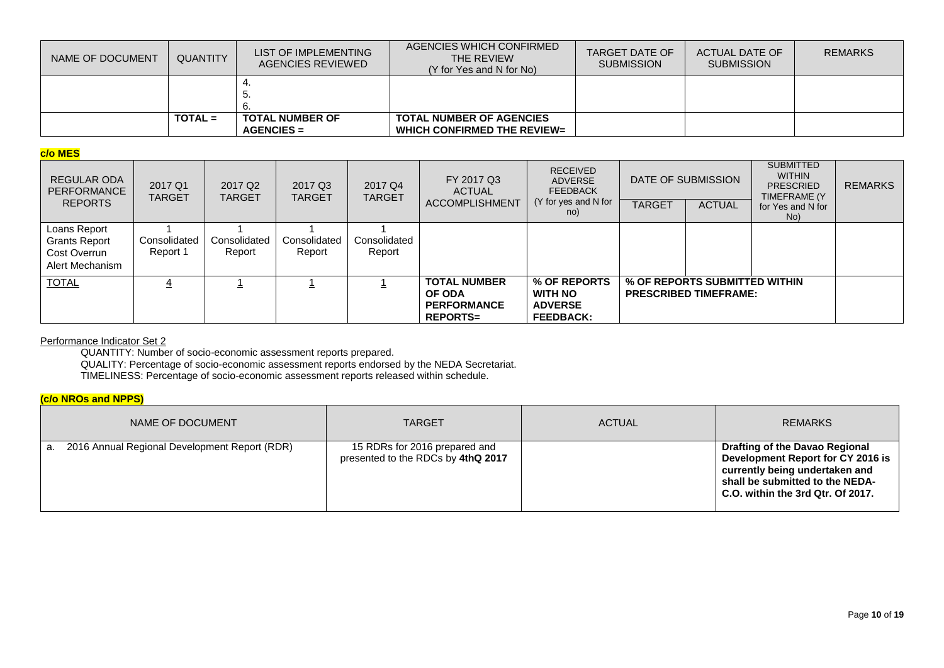| NAME OF DOCUMENT | <b>QUANTITY</b> | LIST OF IMPLEMENTING<br><b>AGENCIES REVIEWED</b> | AGENCIES WHICH CONFIRMED<br>THE REVIEW<br>(Y for Yes and N for No) | TARGET DATE OF<br><b>SUBMISSION</b> | ACTUAL DATE OF<br><b>SUBMISSION</b> | <b>REMARKS</b> |
|------------------|-----------------|--------------------------------------------------|--------------------------------------------------------------------|-------------------------------------|-------------------------------------|----------------|
|                  |                 | Ð.                                               |                                                                    |                                     |                                     |                |
|                  |                 |                                                  |                                                                    |                                     |                                     |                |
|                  | $TOTAL =$       | <b>TOTAL NUMBER OF</b>                           | <b>TOTAL NUMBER OF AGENCIES</b>                                    |                                     |                                     |                |
|                  |                 | $AGENCIES =$                                     | WHICH CONFIRMED THE REVIEW=                                        |                                     |                                     |                |

### **c/o MES**

| REGULAR ODA<br>PERFORMANCE<br><b>REPORTS</b>                     | 2017 Q1<br>TARGET        | 2017 Q <sub>2</sub><br><b>TARGET</b> | 2017 Q3<br><b>TARGET</b> | 2017 Q4<br><b>TARGET</b> | FY 2017 Q3<br><b>ACTUAL</b><br><b>ACCOMPLISHMENT</b>                   | <b>RECEIVED</b><br><b>ADVERSE</b><br><b>FEEDBACK</b><br>(Y for yes and N for<br>no) | <b>TARGET</b> | DATE OF SUBMISSION<br><b>ACTUAL</b>                           | <b>SUBMITTED</b><br><b>WITHIN</b><br><b>PRESCRIED</b><br>TIMEFRAME (Y)<br>for Yes and N for<br>No) | <b>REMARKS</b> |
|------------------------------------------------------------------|--------------------------|--------------------------------------|--------------------------|--------------------------|------------------------------------------------------------------------|-------------------------------------------------------------------------------------|---------------|---------------------------------------------------------------|----------------------------------------------------------------------------------------------------|----------------|
| Loans Report<br>Grants Report<br>Cost Overrun<br>Alert Mechanism | Consolidated<br>Report 1 | Consolidated<br>Report               | Consolidated<br>Report   | Consolidated<br>Report   |                                                                        |                                                                                     |               |                                                               |                                                                                                    |                |
| <b>TOTAL</b>                                                     |                          |                                      |                          |                          | <b>TOTAL NUMBER</b><br>OF ODA<br><b>PERFORMANCE</b><br><b>REPORTS=</b> | % OF REPORTS<br><b>WITH NO</b><br><b>ADVERSE</b><br><b>FEEDBACK:</b>                |               | % OF REPORTS SUBMITTED WITHIN<br><b>PRESCRIBED TIMEFRAME:</b> |                                                                                                    |                |

### Performance Indicator Set 2

QUANTITY: Number of socio-economic assessment reports prepared.

QUALITY: Percentage of socio-economic assessment reports endorsed by the NEDA Secretariat.

TIMELINESS: Percentage of socio-economic assessment reports released within schedule.

## **(c/o NROs and NPPS)**

| NAME OF DOCUMENT                                    | <b>TARGET</b>                                                       | <b>ACTUAL</b> | <b>REMARKS</b>                                                                                                                                                                |
|-----------------------------------------------------|---------------------------------------------------------------------|---------------|-------------------------------------------------------------------------------------------------------------------------------------------------------------------------------|
| 2016 Annual Regional Development Report (RDR)<br>a. | 15 RDRs for 2016 prepared and<br>presented to the RDCs by 4thQ 2017 |               | Drafting of the Davao Regional<br>Development Report for CY 2016 is<br>currently being undertaken and<br>shall be submitted to the NEDA-<br>C.O. within the 3rd Qtr. Of 2017. |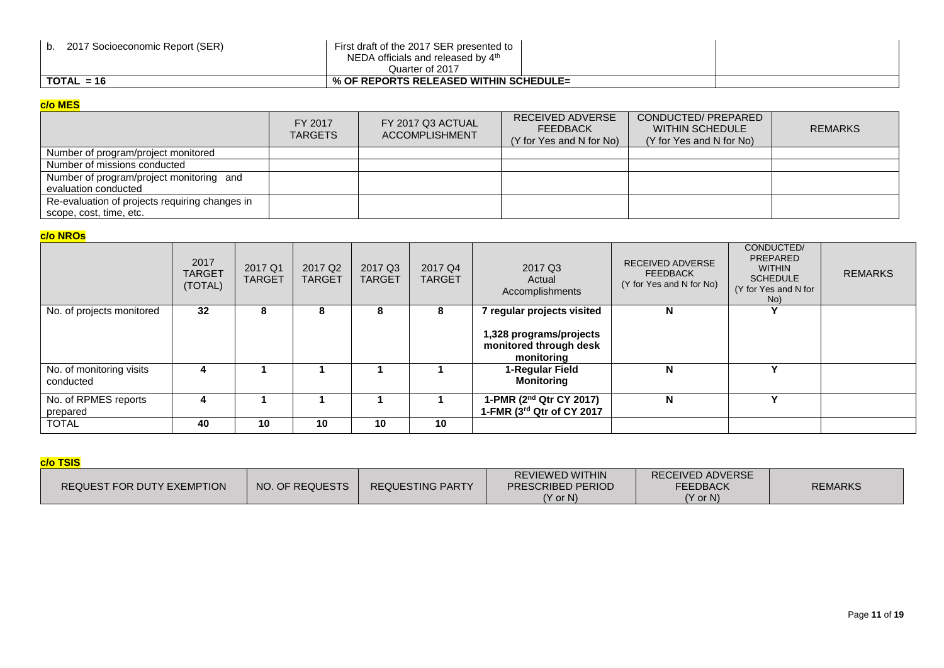| 2017 Socioeconomic Report (SER) | First draft of the 2017 SER presented to<br>NEDA officials and released by $4th$<br>Quarter of 2017 |  |
|---------------------------------|-----------------------------------------------------------------------------------------------------|--|
| $TOTAL = 16$                    | % OF REPORTS RELEASED WITHIN SCHEDULE=                                                              |  |

# **c/o MES**

| $\sim$ $\sim$ $\sim$                                             |                           |                                            |                                                                 |                                                                           |                |
|------------------------------------------------------------------|---------------------------|--------------------------------------------|-----------------------------------------------------------------|---------------------------------------------------------------------------|----------------|
|                                                                  | FY 2017<br><b>TARGETS</b> | FY 2017 Q3 ACTUAL<br><b>ACCOMPLISHMENT</b> | RECEIVED ADVERSE<br><b>FEEDBACK</b><br>(Y for Yes and N for No) | CONDUCTED/ PREPARED<br><b>WITHIN SCHEDULE</b><br>(Y for Yes and N for No) | <b>REMARKS</b> |
| Number of program/project monitored                              |                           |                                            |                                                                 |                                                                           |                |
| Number of missions conducted                                     |                           |                                            |                                                                 |                                                                           |                |
| Number of program/project monitoring and<br>evaluation conducted |                           |                                            |                                                                 |                                                                           |                |
| Re-evaluation of projects requiring changes in                   |                           |                                            |                                                                 |                                                                           |                |
| scope, cost, time, etc.                                          |                           |                                            |                                                                 |                                                                           |                |

# **c/o NROs**

|                                       | 2017<br><b>TARGET</b><br>(TOTAL) | 2017 Q1<br><b>TARGET</b> | 2017 Q <sub>2</sub><br><b>TARGET</b> | 2017 Q3<br><b>TARGET</b> | 2017 Q4<br><b>TARGET</b> | 2017 Q3<br>Actual<br>Accomplishments                            | <b>RECEIVED ADVERSE</b><br><b>FEEDBACK</b><br>(Y for Yes and N for No) | CONDUCTED/<br>PREPARED<br><b>WITHIN</b><br><b>SCHEDULE</b><br>(Y for Yes and N for<br>No) | <b>REMARKS</b> |
|---------------------------------------|----------------------------------|--------------------------|--------------------------------------|--------------------------|--------------------------|-----------------------------------------------------------------|------------------------------------------------------------------------|-------------------------------------------------------------------------------------------|----------------|
| No. of projects monitored             | 32                               | 8                        | 8                                    | 8                        | 8                        | 7 regular projects visited                                      | N                                                                      |                                                                                           |                |
|                                       |                                  |                          |                                      |                          |                          | 1,328 programs/projects<br>monitored through desk<br>monitoring |                                                                        |                                                                                           |                |
| No. of monitoring visits<br>conducted |                                  |                          |                                      |                          |                          | 1-Regular Field<br><b>Monitoring</b>                            | N                                                                      |                                                                                           |                |
| No. of RPMES reports<br>prepared      |                                  |                          |                                      |                          |                          | 1-PMR (2nd Qtr CY 2017)<br>1-FMR (3rd Qtr of CY 2017            | N                                                                      |                                                                                           |                |
| <b>TOTAL</b>                          | 40                               | 10                       | 10                                   | 10                       | 10                       |                                                                 |                                                                        |                                                                                           |                |

# **c/o TSIS**

| NO. OF REQUESTS            | <b>REVIEWED WITHIN</b>   | <b>RECEIVED ADVERSE</b> | <b>REMARKS</b> |
|----------------------------|--------------------------|-------------------------|----------------|
| <b>REQUESTING PARTY</b>    | <b>PRESCRIBED PERIOD</b> | <b>FEEDBACK</b>         |                |
| REQUEST FOR DUTY EXEMPTION | $(Y \text{ or } N)$      | $(Y \text{ or } N)$     |                |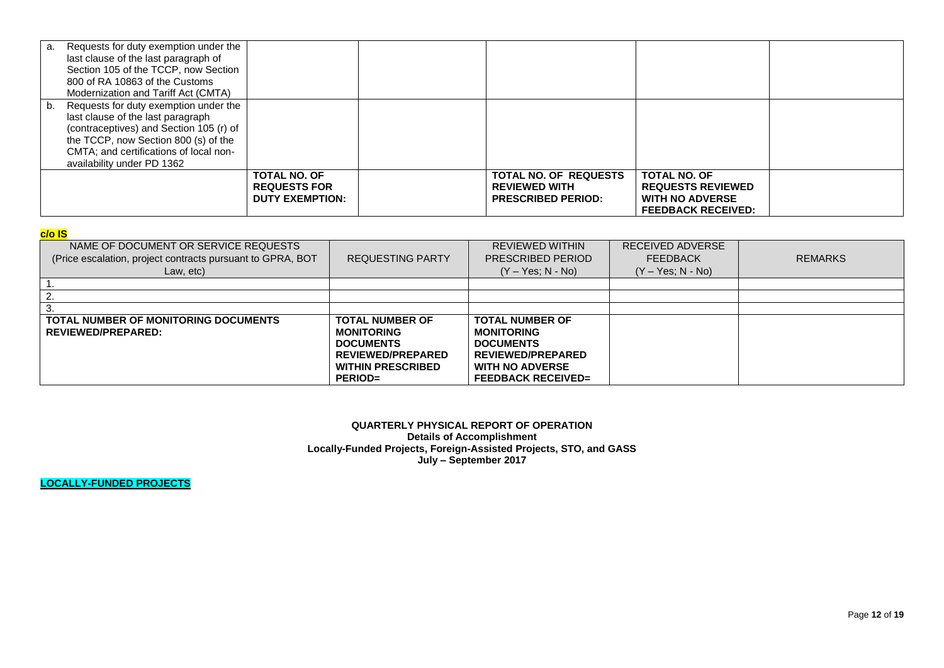| а. | Requests for duty exemption under the<br>last clause of the last paragraph of<br>Section 105 of the TCCP, now Section<br>800 of RA 10863 of the Customs<br>Modernization and Tariff Act (CMTA)                                        |                                                                      |                                                                                   |                                                                                                        |  |
|----|---------------------------------------------------------------------------------------------------------------------------------------------------------------------------------------------------------------------------------------|----------------------------------------------------------------------|-----------------------------------------------------------------------------------|--------------------------------------------------------------------------------------------------------|--|
| b. | Requests for duty exemption under the<br>last clause of the last paragraph<br>(contraceptives) and Section 105 (r) of<br>the TCCP, now Section 800 (s) of the<br>CMTA; and certifications of local non-<br>availability under PD 1362 |                                                                      |                                                                                   |                                                                                                        |  |
|    |                                                                                                                                                                                                                                       | <b>TOTAL NO. OF</b><br><b>REQUESTS FOR</b><br><b>DUTY EXEMPTION:</b> | <b>TOTAL NO. OF REQUESTS</b><br><b>REVIEWED WITH</b><br><b>PRESCRIBED PERIOD:</b> | <b>TOTAL NO. OF</b><br><b>REQUESTS REVIEWED</b><br><b>WITH NO ADVERSE</b><br><b>FEEDBACK RECEIVED:</b> |  |

| <b>CONTRACTOR</b><br>-<br>__<br><b>Contract Contract Contract Contract Contract Contract Contract Contract Contract Contract Contract Contract Co</b><br><b>Contract Contract Contract Contract Contract Contract Contract Contract Contract Contract Contract Contract C</b> | __<br><b>Contract Contract Contract Contract Contract Contract Contract Contract Contract Contract Contract Contract Co</b> |
|-------------------------------------------------------------------------------------------------------------------------------------------------------------------------------------------------------------------------------------------------------------------------------|-----------------------------------------------------------------------------------------------------------------------------|
|-------------------------------------------------------------------------------------------------------------------------------------------------------------------------------------------------------------------------------------------------------------------------------|-----------------------------------------------------------------------------------------------------------------------------|

| ---                                                                                                             |                                                                                                                                           |                                                                                                                                             |                                                            |                |
|-----------------------------------------------------------------------------------------------------------------|-------------------------------------------------------------------------------------------------------------------------------------------|---------------------------------------------------------------------------------------------------------------------------------------------|------------------------------------------------------------|----------------|
| NAME OF DOCUMENT OR SERVICE REQUESTS<br>(Price escalation, project contracts pursuant to GPRA, BOT<br>Law, etc) | <b>REQUESTING PARTY</b>                                                                                                                   | <b>REVIEWED WITHIN</b><br>PRESCRIBED PERIOD<br>$(Y - Yes; N - No)$                                                                          | RECEIVED ADVERSE<br><b>FEEDBACK</b><br>$(Y - Yes; N - No)$ | <b>REMARKS</b> |
|                                                                                                                 |                                                                                                                                           |                                                                                                                                             |                                                            |                |
|                                                                                                                 |                                                                                                                                           |                                                                                                                                             |                                                            |                |
|                                                                                                                 |                                                                                                                                           |                                                                                                                                             |                                                            |                |
| <b>TOTAL NUMBER OF MONITORING DOCUMENTS</b><br>REVIEWED/PREPARED:                                               | <b>TOTAL NUMBER OF</b><br><b>MONITORING</b><br><b>DOCUMENTS</b><br><b>REVIEWED/PREPARED</b><br><b>WITHIN PRESCRIBED</b><br><b>PERIOD=</b> | <b>TOTAL NUMBER OF</b><br><b>MONITORING</b><br><b>DOCUMENTS</b><br>REVIEWED/PREPARED<br><b>WITH NO ADVERSE</b><br><b>FEEDBACK RECEIVED=</b> |                                                            |                |

**QUARTERLY PHYSICAL REPORT OF OPERATION Details of Accomplishment Locally-Funded Projects, Foreign-Assisted Projects, STO, and GASS July – September 2017**

**LOCALLY-FUNDED PROJECTS**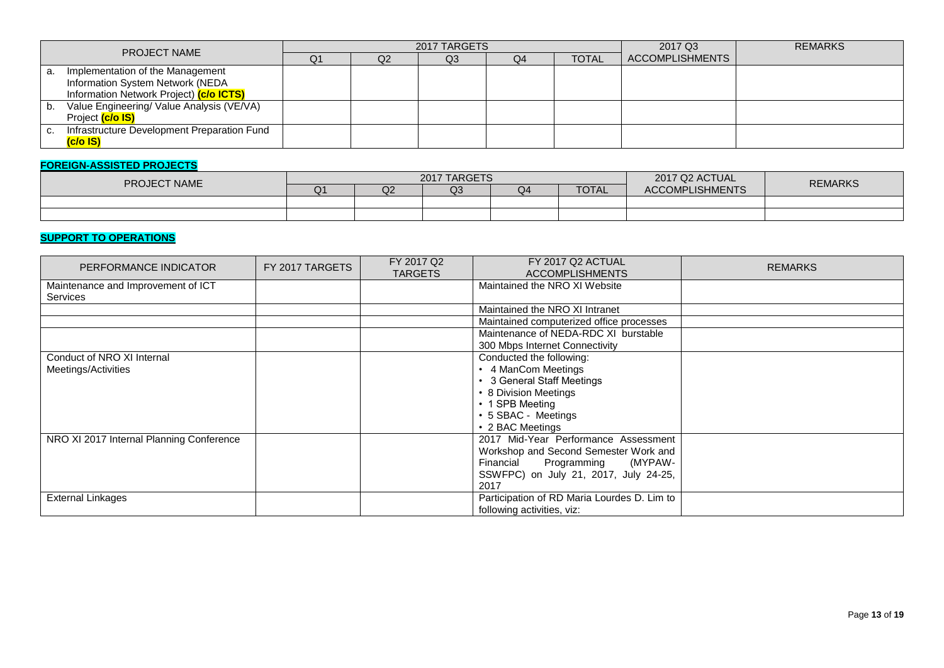| <b>PROJECT NAME</b> |                                             |    |    | 2017 TARGETS |    | 2017 Q3      | <b>REMARKS</b>         |  |
|---------------------|---------------------------------------------|----|----|--------------|----|--------------|------------------------|--|
|                     |                                             | Q1 | Q2 | Q3           | Q4 | <b>TOTAL</b> | <b>ACCOMPLISHMENTS</b> |  |
| а.                  | Implementation of the Management            |    |    |              |    |              |                        |  |
|                     | Information System Network (NEDA            |    |    |              |    |              |                        |  |
|                     | Information Network Project) (c/o ICTS)     |    |    |              |    |              |                        |  |
| b.                  | Value Engineering/ Value Analysis (VE/VA)   |    |    |              |    |              |                        |  |
|                     | Project (c/o IS)                            |    |    |              |    |              |                        |  |
| C.                  | Infrastructure Development Preparation Fund |    |    |              |    |              |                        |  |
|                     | (c/o IS)                                    |    |    |              |    |              |                        |  |

### **FOREIGN-ASSISTED PROJECTS**

| <b>PROJECT NAME</b> |    |    | 2017 TARGETS |    | 2017 Q2 ACTUAL | <b>REMARKS</b>         |  |
|---------------------|----|----|--------------|----|----------------|------------------------|--|
|                     | Q1 | Q2 | Q3           | Q4 | <b>TOTAL</b>   | <b>ACCOMPLISHMENTS</b> |  |
|                     |    |    |              |    |                |                        |  |
|                     |    |    |              |    |                |                        |  |

### **SUPPORT TO OPERATIONS**

| PERFORMANCE INDICATOR                                 | FY 2017 TARGETS | FY 2017 Q2<br><b>TARGETS</b> | FY 2017 Q2 ACTUAL<br><b>ACCOMPLISHMENTS</b>                                                                                                                   | <b>REMARKS</b> |
|-------------------------------------------------------|-----------------|------------------------------|---------------------------------------------------------------------------------------------------------------------------------------------------------------|----------------|
| Maintenance and Improvement of ICT<br><b>Services</b> |                 |                              | Maintained the NRO XI Website                                                                                                                                 |                |
|                                                       |                 |                              | Maintained the NRO XI Intranet                                                                                                                                |                |
|                                                       |                 |                              | Maintained computerized office processes                                                                                                                      |                |
|                                                       |                 |                              | Maintenance of NEDA-RDC XI burstable                                                                                                                          |                |
|                                                       |                 |                              | 300 Mbps Internet Connectivity                                                                                                                                |                |
| Conduct of NRO XI Internal                            |                 |                              | Conducted the following:                                                                                                                                      |                |
| Meetings/Activities                                   |                 |                              | • 4 ManCom Meetings                                                                                                                                           |                |
|                                                       |                 |                              | • 3 General Staff Meetings                                                                                                                                    |                |
|                                                       |                 |                              | • 8 Division Meetings                                                                                                                                         |                |
|                                                       |                 |                              | • 1 SPB Meeting                                                                                                                                               |                |
|                                                       |                 |                              | • 5 SBAC - Meetings                                                                                                                                           |                |
|                                                       |                 |                              | • 2 BAC Meetings                                                                                                                                              |                |
| NRO XI 2017 Internal Planning Conference              |                 |                              | 2017 Mid-Year Performance Assessment<br>Workshop and Second Semester Work and<br>Financial<br>Programming<br>(MYPAW-<br>SSWFPC) on July 21, 2017, July 24-25, |                |
|                                                       |                 |                              | 2017                                                                                                                                                          |                |
| <b>External Linkages</b>                              |                 |                              | Participation of RD Maria Lourdes D. Lim to<br>following activities, viz:                                                                                     |                |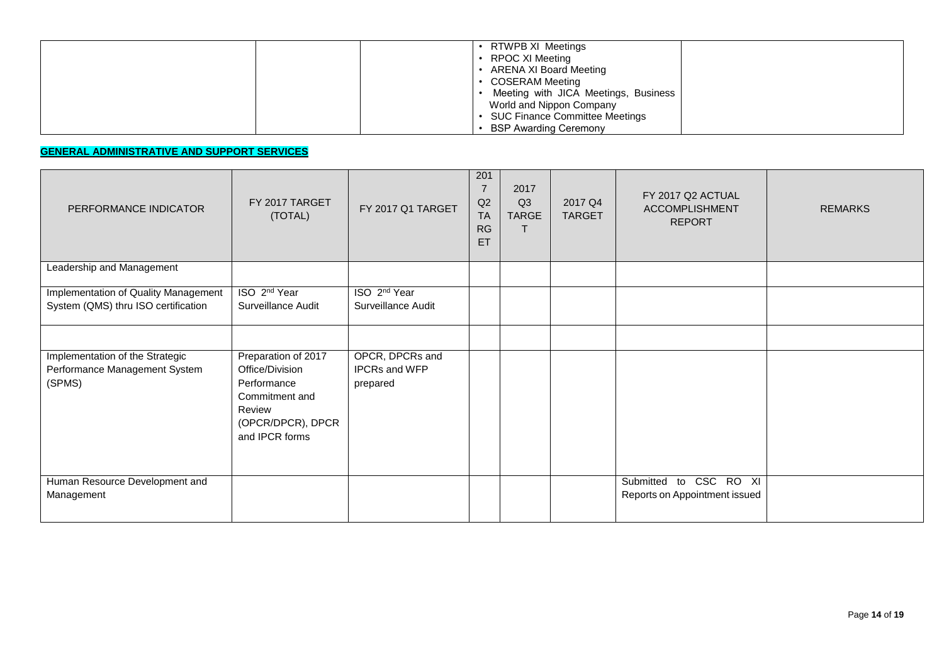| RTWPB XI Meetings<br>RPOC XI Meeting<br>ARENA XI Board Meeting<br><b>COSERAM Meeting</b><br>Meeting with JICA Meetings, Business<br>World and Nippon Company |
|--------------------------------------------------------------------------------------------------------------------------------------------------------------|
| <b>SUC Finance Committee Meetings</b><br><b>BSP Awarding Ceremony</b>                                                                                        |

## **GENERAL ADMINISTRATIVE AND SUPPORT SERVICES**

| PERFORMANCE INDICATOR                                                       | FY 2017 TARGET<br>(TOTAL)                                                                                                | FY 2017 Q1 TARGET                              | 201<br>7<br>Q2<br><b>TA</b><br><b>RG</b><br>ET | 2017<br>Q <sub>3</sub><br><b>TARGE</b> | 2017 Q4<br><b>TARGET</b> | FY 2017 Q2 ACTUAL<br><b>ACCOMPLISHMENT</b><br><b>REPORT</b> | <b>REMARKS</b> |
|-----------------------------------------------------------------------------|--------------------------------------------------------------------------------------------------------------------------|------------------------------------------------|------------------------------------------------|----------------------------------------|--------------------------|-------------------------------------------------------------|----------------|
| Leadership and Management                                                   |                                                                                                                          |                                                |                                                |                                        |                          |                                                             |                |
| Implementation of Quality Management<br>System (QMS) thru ISO certification | ISO 2 <sup>nd</sup> Year<br>Surveillance Audit                                                                           | ISO 2 <sup>nd</sup> Year<br>Surveillance Audit |                                                |                                        |                          |                                                             |                |
|                                                                             |                                                                                                                          |                                                |                                                |                                        |                          |                                                             |                |
| Implementation of the Strategic<br>Performance Management System<br>(SPMS)  | Preparation of 2017<br>Office/Division<br>Performance<br>Commitment and<br>Review<br>(OPCR/DPCR), DPCR<br>and IPCR forms | OPCR, DPCRs and<br>IPCRs and WFP<br>prepared   |                                                |                                        |                          |                                                             |                |
| Human Resource Development and<br>Management                                |                                                                                                                          |                                                |                                                |                                        |                          | Submitted to CSC RO XI<br>Reports on Appointment issued     |                |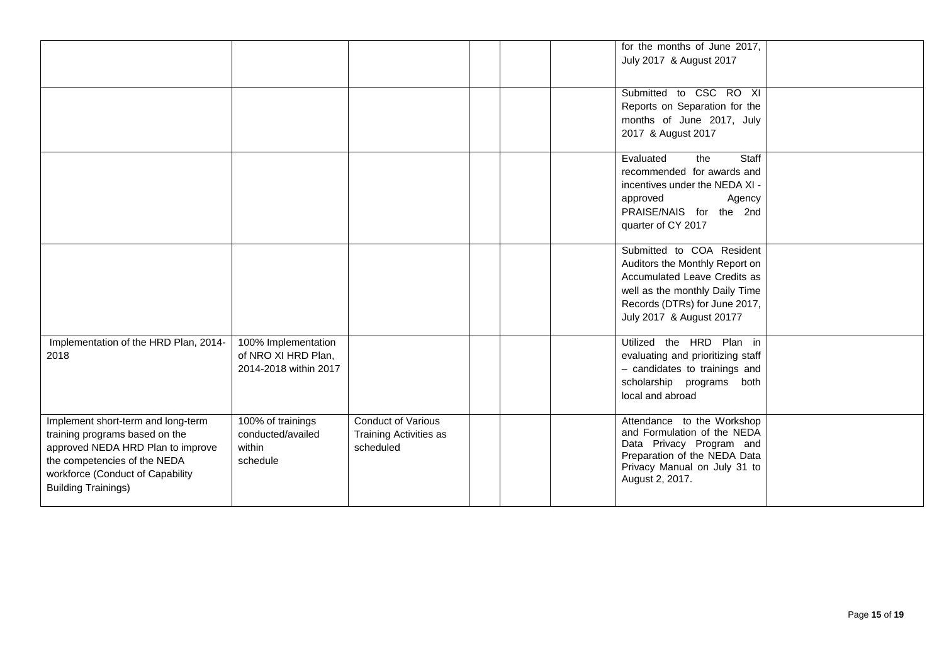|                                                                                                                                                                                                             |                                                                     |                                                                         |  | for the months of June 2017,<br>July 2017 & August 2017                                                                                                                                    |  |
|-------------------------------------------------------------------------------------------------------------------------------------------------------------------------------------------------------------|---------------------------------------------------------------------|-------------------------------------------------------------------------|--|--------------------------------------------------------------------------------------------------------------------------------------------------------------------------------------------|--|
|                                                                                                                                                                                                             |                                                                     |                                                                         |  | Submitted to CSC RO XI<br>Reports on Separation for the<br>months of June 2017, July<br>2017 & August 2017                                                                                 |  |
|                                                                                                                                                                                                             |                                                                     |                                                                         |  | Staff<br>Evaluated<br>the<br>recommended for awards and<br>incentives under the NEDA XI -<br>Agency<br>approved<br>PRAISE/NAIS for the 2nd<br>quarter of CY 2017                           |  |
|                                                                                                                                                                                                             |                                                                     |                                                                         |  | Submitted to COA Resident<br>Auditors the Monthly Report on<br>Accumulated Leave Credits as<br>well as the monthly Daily Time<br>Records (DTRs) for June 2017,<br>July 2017 & August 20177 |  |
| Implementation of the HRD Plan, 2014-<br>2018                                                                                                                                                               | 100% Implementation<br>of NRO XI HRD Plan,<br>2014-2018 within 2017 |                                                                         |  | Utilized the HRD Plan in<br>evaluating and prioritizing staff<br>- candidates to trainings and<br>scholarship programs both<br>local and abroad                                            |  |
| Implement short-term and long-term<br>training programs based on the<br>approved NEDA HRD Plan to improve<br>the competencies of the NEDA<br>workforce (Conduct of Capability<br><b>Building Trainings)</b> | 100% of trainings<br>conducted/availed<br>within<br>schedule        | <b>Conduct of Various</b><br><b>Training Activities as</b><br>scheduled |  | Attendance to the Workshop<br>and Formulation of the NEDA<br>Data Privacy Program and<br>Preparation of the NEDA Data<br>Privacy Manual on July 31 to<br>August 2, 2017.                   |  |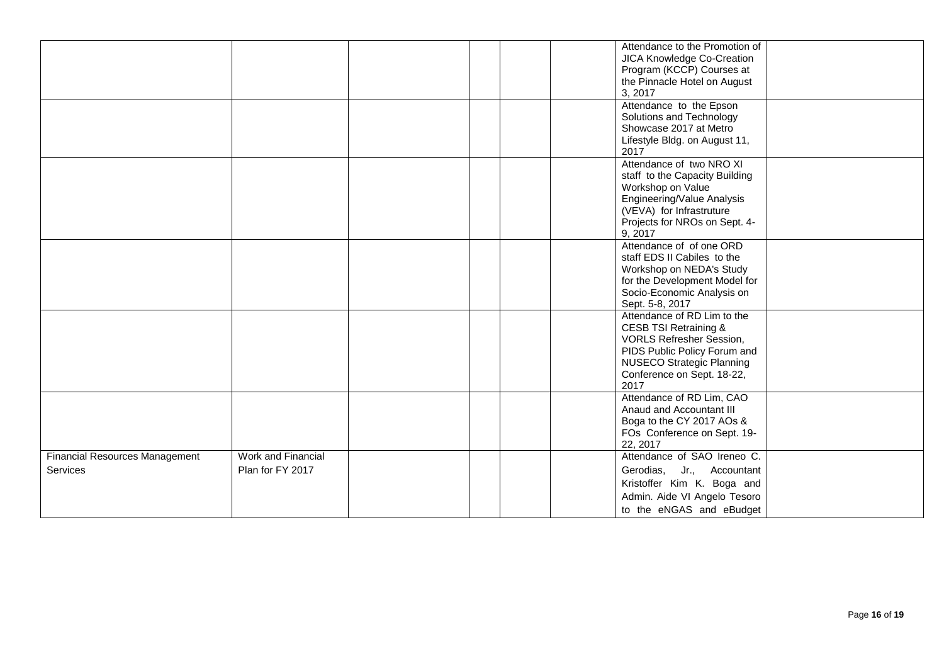|                                                   |                                        |  |  | Attendance to the Promotion of<br>JICA Knowledge Co-Creation<br>Program (KCCP) Courses at<br>the Pinnacle Hotel on August<br>3, 2017                                                                         |  |
|---------------------------------------------------|----------------------------------------|--|--|--------------------------------------------------------------------------------------------------------------------------------------------------------------------------------------------------------------|--|
|                                                   |                                        |  |  | Attendance to the Epson<br>Solutions and Technology<br>Showcase 2017 at Metro<br>Lifestyle Bldg. on August 11,<br>2017                                                                                       |  |
|                                                   |                                        |  |  | Attendance of two NRO XI<br>staff to the Capacity Building<br>Workshop on Value<br>Engineering/Value Analysis<br>(VEVA) for Infrastruture<br>Projects for NROs on Sept. 4-<br>9, 2017                        |  |
|                                                   |                                        |  |  | Attendance of of one ORD<br>staff EDS II Cabiles to the<br>Workshop on NEDA's Study<br>for the Development Model for<br>Socio-Economic Analysis on<br>Sept. 5-8, 2017                                        |  |
|                                                   |                                        |  |  | Attendance of RD Lim to the<br><b>CESB TSI Retraining &amp;</b><br><b>VORLS Refresher Session,</b><br>PIDS Public Policy Forum and<br><b>NUSECO Strategic Planning</b><br>Conference on Sept. 18-22,<br>2017 |  |
|                                                   |                                        |  |  | Attendance of RD Lim, CAO<br>Anaud and Accountant III<br>Boga to the CY 2017 AOs &<br>FOs Conference on Sept. 19-<br>22, 2017                                                                                |  |
| <b>Financial Resources Management</b><br>Services | Work and Financial<br>Plan for FY 2017 |  |  | Attendance of SAO Ireneo C.<br>Gerodias, Jr., Accountant<br>Kristoffer Kim K. Boga and<br>Admin. Aide VI Angelo Tesoro<br>to the eNGAS and eBudget                                                           |  |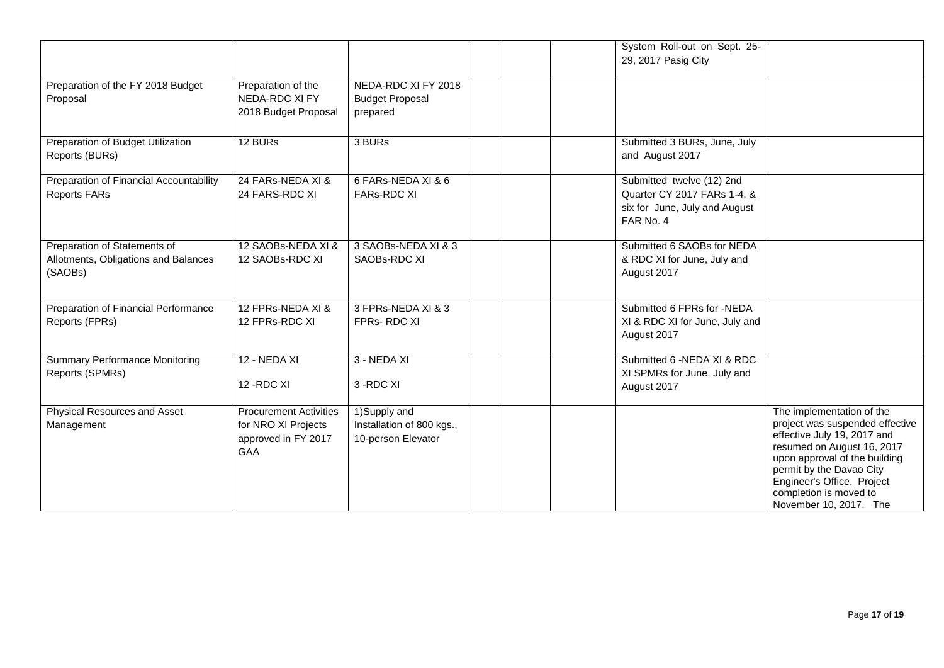|                                                                                 |                                                                                           |                                                                 | System Roll-out on Sept. 25-<br>29, 2017 Pasig City                                                    |                                                                                                                                                                                                                                                                          |
|---------------------------------------------------------------------------------|-------------------------------------------------------------------------------------------|-----------------------------------------------------------------|--------------------------------------------------------------------------------------------------------|--------------------------------------------------------------------------------------------------------------------------------------------------------------------------------------------------------------------------------------------------------------------------|
| Preparation of the FY 2018 Budget<br>Proposal                                   | Preparation of the<br>NEDA-RDC XI FY<br>2018 Budget Proposal                              | NEDA-RDC XI FY 2018<br><b>Budget Proposal</b><br>prepared       |                                                                                                        |                                                                                                                                                                                                                                                                          |
| Preparation of Budget Utilization<br>Reports (BURs)                             | 12 BURs                                                                                   | 3 BURs                                                          | Submitted 3 BURs, June, July<br>and August 2017                                                        |                                                                                                                                                                                                                                                                          |
| Preparation of Financial Accountability<br><b>Reports FARs</b>                  | 24 FARs-NEDA XI &<br>24 FARS-RDC XI                                                       | 6 FARs-NEDA XI & 6<br><b>FARs-RDC XI</b>                        | Submitted twelve (12) 2nd<br>Quarter CY 2017 FARs 1-4, &<br>six for June, July and August<br>FAR No. 4 |                                                                                                                                                                                                                                                                          |
| Preparation of Statements of<br>Allotments, Obligations and Balances<br>(SAOBs) | 12 SAOBs-NEDA XI &<br>12 SAOBs-RDC XI                                                     | 3 SAOBs-NEDA XI & 3<br>SAOBs-RDC XI                             | Submitted 6 SAOBs for NEDA<br>& RDC XI for June, July and<br>August 2017                               |                                                                                                                                                                                                                                                                          |
| Preparation of Financial Performance<br>Reports (FPRs)                          | 12 FPRs-NEDA XI &<br>12 FPRs-RDC XI                                                       | 3 FPRs-NEDA XI & 3<br>FPRs-RDC XI                               | Submitted 6 FPRs for -NEDA<br>XI & RDC XI for June, July and<br>August 2017                            |                                                                                                                                                                                                                                                                          |
| Summary Performance Monitoring<br>Reports (SPMRs)                               | 12 - NEDA XI<br>12-RDC XI                                                                 | 3 - NEDA XI<br>3-RDC XI                                         | Submitted 6 - NEDA XI & RDC<br>XI SPMRs for June, July and<br>August 2017                              |                                                                                                                                                                                                                                                                          |
| Physical Resources and Asset<br>Management                                      | <b>Procurement Activities</b><br>for NRO XI Projects<br>approved in FY 2017<br><b>GAA</b> | 1)Supply and<br>Installation of 800 kgs.,<br>10-person Elevator |                                                                                                        | The implementation of the<br>project was suspended effective<br>effective July 19, 2017 and<br>resumed on August 16, 2017<br>upon approval of the building<br>permit by the Davao City<br>Engineer's Office. Project<br>completion is moved to<br>November 10, 2017. The |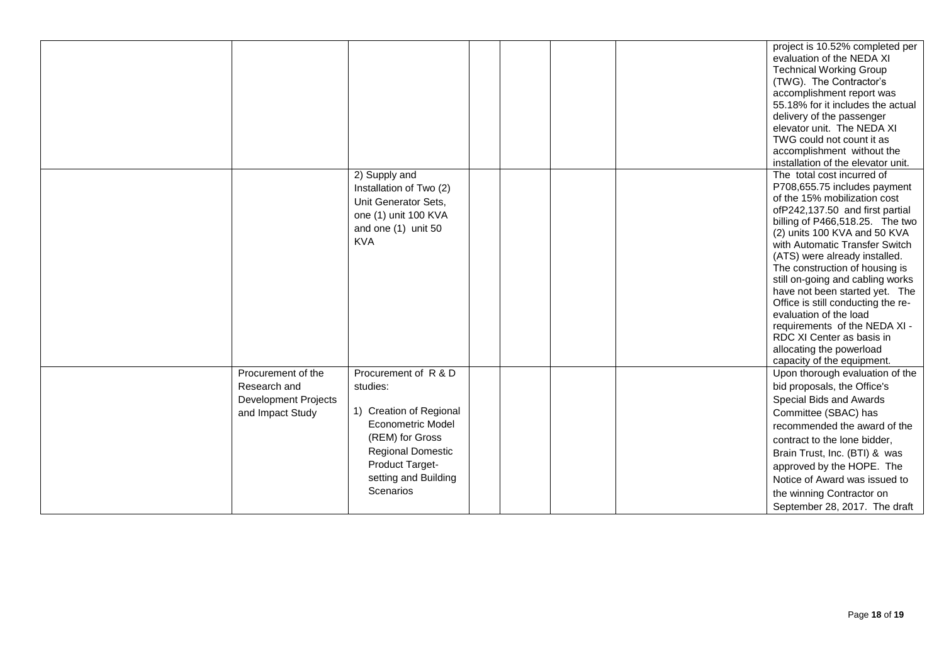|                                                                                       |                                                                                                                                                                                                |  | project is 10.52% completed per<br>evaluation of the NEDA XI<br><b>Technical Working Group</b><br>(TWG). The Contractor's<br>accomplishment report was<br>55.18% for it includes the actual<br>delivery of the passenger<br>elevator unit. The NEDA XI<br>TWG could not count it as<br>accomplishment without the<br>installation of the elevator unit.                                                                                                                                                                                                             |
|---------------------------------------------------------------------------------------|------------------------------------------------------------------------------------------------------------------------------------------------------------------------------------------------|--|---------------------------------------------------------------------------------------------------------------------------------------------------------------------------------------------------------------------------------------------------------------------------------------------------------------------------------------------------------------------------------------------------------------------------------------------------------------------------------------------------------------------------------------------------------------------|
|                                                                                       | 2) Supply and<br>Installation of Two (2)<br>Unit Generator Sets,<br>one (1) unit 100 KVA<br>and one (1) unit 50<br><b>KVA</b>                                                                  |  | The total cost incurred of<br>P708,655.75 includes payment<br>of the 15% mobilization cost<br>ofP242,137.50 and first partial<br>billing of P466,518.25. The two<br>(2) units 100 KVA and 50 KVA<br>with Automatic Transfer Switch<br>(ATS) were already installed.<br>The construction of housing is<br>still on-going and cabling works<br>have not been started yet. The<br>Office is still conducting the re-<br>evaluation of the load<br>requirements of the NEDA XI -<br>RDC XI Center as basis in<br>allocating the powerload<br>capacity of the equipment. |
| Procurement of the<br>Research and<br><b>Development Projects</b><br>and Impact Study | Procurement of R & D<br>studies:<br>1) Creation of Regional<br><b>Econometric Model</b><br>(REM) for Gross<br><b>Regional Domestic</b><br>Product Target-<br>setting and Building<br>Scenarios |  | Upon thorough evaluation of the<br>bid proposals, the Office's<br>Special Bids and Awards<br>Committee (SBAC) has<br>recommended the award of the<br>contract to the lone bidder,<br>Brain Trust, Inc. (BTI) & was<br>approved by the HOPE. The<br>Notice of Award was issued to<br>the winning Contractor on<br>September 28, 2017. The draft                                                                                                                                                                                                                      |